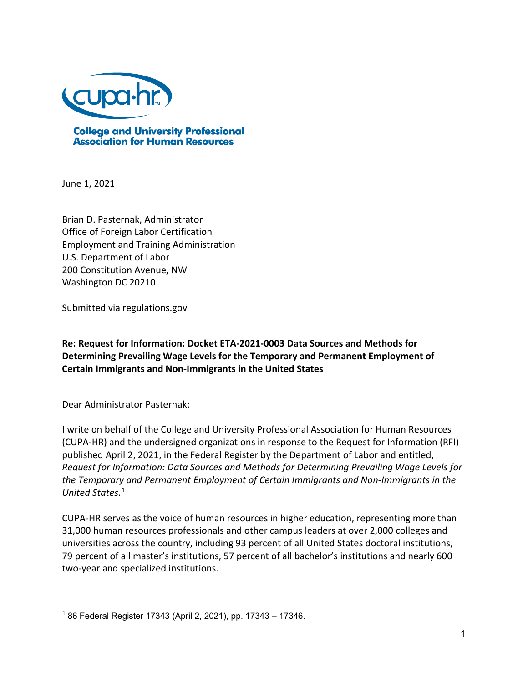

**College and University Professional<br>Association for Human Resources** 

June 1, 2021

Brian D. Pasternak, Administrator Office of Foreign Labor Certification Employment and Training Administration U.S. Department of Labor 200 Constitution Avenue, NW Washington DC 20210

Submitted via regulations.gov

**Re: Request for Information: Docket ETA-2021-0003 Data Sources and Methods for Determining Prevailing Wage Levels for the Temporary and Permanent Employment of Certain Immigrants and Non-Immigrants in the United States**

Dear Administrator Pasternak:

I write on behalf of the College and University Professional Association for Human Resources (CUPA-HR) and the undersigned organizations in response to the Request for Information (RFI) published April 2, 2021, in the Federal Register by the Department of Labor and entitled, *Request for Information: Data Sources and Methods for Determining Prevailing Wage Levels for the Temporary and Permanent Employment of Certain Immigrants and Non-Immigrants in the United States*. [1](#page-0-0)

CUPA-HR serves as the voice of human resources in higher education, representing more than 31,000 human resources professionals and other campus leaders at over 2,000 colleges and universities across the country, including 93 percent of all United States doctoral institutions, 79 percent of all master's institutions, 57 percent of all bachelor's institutions and nearly 600 two-year and specialized institutions.

<span id="page-0-0"></span><sup>&</sup>lt;sup>1</sup> 86 Federal Register 17343 (April 2, 2021), pp. 17343 – 17346.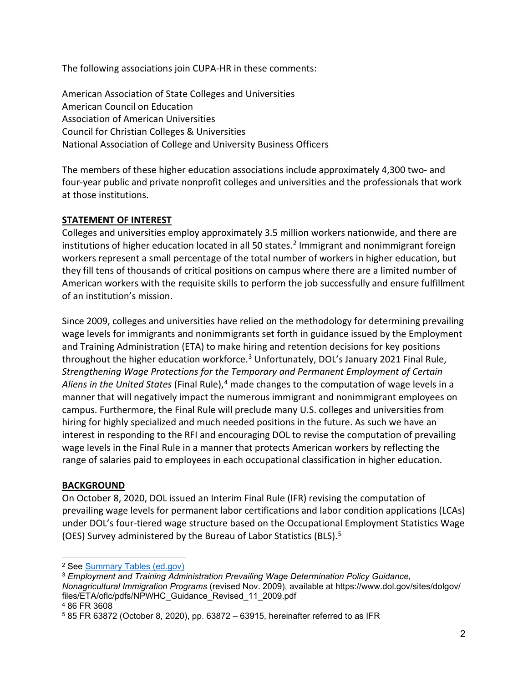The following associations join CUPA-HR in these comments:

American Association of State Colleges and Universities American Council on Education Association of American Universities Council for Christian Colleges & Universities National Association of College and University Business Officers

The members of these higher education associations include approximately 4,300 two- and four-year public and private nonprofit colleges and universities and the professionals that work at those institutions.

# **STATEMENT OF INTEREST**

Colleges and universities employ approximately 3.5 million workers nationwide, and there are institutions of higher education located in all 50 states.<sup>[2](#page-1-0)</sup> Immigrant and nonimmigrant foreign workers represent a small percentage of the total number of workers in higher education, but they fill tens of thousands of critical positions on campus where there are a limited number of American workers with the requisite skills to perform the job successfully and ensure fulfillment of an institution's mission.

Since 2009, colleges and universities have relied on the methodology for determining prevailing wage levels for immigrants and nonimmigrants set forth in guidance issued by the Employment and Training Administration (ETA) to make hiring and retention decisions for key positions throughout the higher education workforce.<sup>[3](#page-1-1)</sup> Unfortunately, DOL's January 2021 Final Rule, *Strengthening Wage Protections for the Temporary and Permanent Employment of Certain Aliens in the United States* (Final Rule), [4](#page-1-2) made changes to the computation of wage levels in a manner that will negatively impact the numerous immigrant and nonimmigrant employees on campus. Furthermore, the Final Rule will preclude many U.S. colleges and universities from hiring for highly specialized and much needed positions in the future. As such we have an interest in responding to the RFI and encouraging DOL to revise the computation of prevailing wage levels in the Final Rule in a manner that protects American workers by reflecting the range of salaries paid to employees in each occupational classification in higher education.

# **BACKGROUND**

On October 8, 2020, DOL issued an Interim Final Rule (IFR) revising the computation of prevailing wage levels for permanent labor certifications and labor condition applications (LCAs) under DOL's four-tiered wage structure based on the Occupational Employment Statistics Wage (OES) Survey administered by the Bureau of Labor Statistics (BLS). [5](#page-1-3)

<span id="page-1-0"></span><sup>2</sup> See [Summary Tables \(ed.gov\)](https://nces.ed.gov/ipeds/SummaryTables/report/400?templateId=4000&year=2019&expand_by=0&tt=aggregate&instType=1)

<span id="page-1-1"></span><sup>3</sup> *Employment and Training Administration Prevailing Wage Determination Policy Guidance, Nonagricultural Immigration Programs* (revised Nov. 2009), available at https://www.dol.gov/sites/dolgov/ files/ETA/oflc/pdfs/NPWHC\_Guidance\_Revised\_11\_2009.pdf

<span id="page-1-2"></span><sup>4</sup> 86 FR 3608

<span id="page-1-3"></span><sup>5</sup> 85 FR 63872 (October 8, 2020), pp. 63872 – 63915, hereinafter referred to as IFR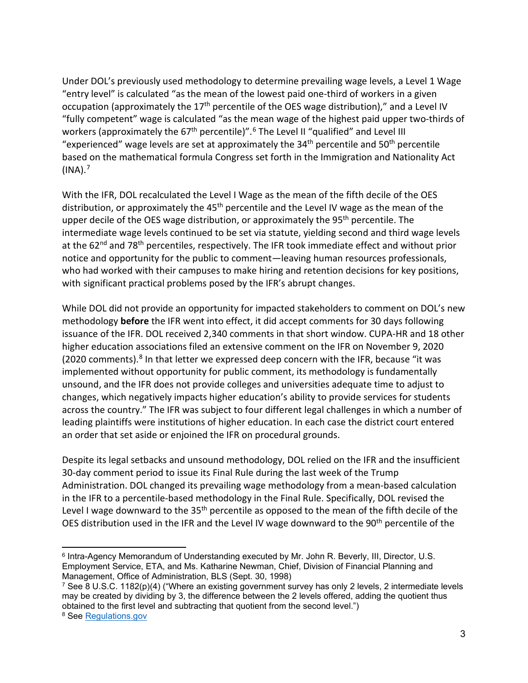Under DOL's previously used methodology to determine prevailing wage levels, a Level 1 Wage "entry level" is calculated "as the mean of the lowest paid one-third of workers in a given occupation (approximately the  $17<sup>th</sup>$  percentile of the OES wage distribution)," and a Level IV "fully competent" wage is calculated "as the mean wage of the highest paid upper two-thirds of workers (approximately the [6](#page-2-0)7<sup>th</sup> percentile)".<sup>6</sup> The Level II "qualified" and Level III "experienced" wage levels are set at approximately the  $34<sup>th</sup>$  percentile and  $50<sup>th</sup>$  percentile based on the mathematical formula Congress set forth in the Immigration and Nationality Act  $(INA).<sup>7</sup>$  $(INA).<sup>7</sup>$  $(INA).<sup>7</sup>$ 

With the IFR, DOL recalculated the Level I Wage as the mean of the fifth decile of the OES distribution, or approximately the 45<sup>th</sup> percentile and the Level IV wage as the mean of the upper decile of the OES wage distribution, or approximately the 95<sup>th</sup> percentile. The intermediate wage levels continued to be set via statute, yielding second and third wage levels at the 62<sup>nd</sup> and 78<sup>th</sup> percentiles, respectively. The IFR took immediate effect and without prior notice and opportunity for the public to comment—leaving human resources professionals, who had worked with their campuses to make hiring and retention decisions for key positions, with significant practical problems posed by the IFR's abrupt changes.

While DOL did not provide an opportunity for impacted stakeholders to comment on DOL's new methodology **before** the IFR went into effect, it did accept comments for 30 days following issuance of the IFR. DOL received 2,340 comments in that short window. CUPA-HR and 18 other higher education associations filed an extensive comment on the IFR on November 9, 2020 (2020 comments). $8$  In that letter we expressed deep concern with the IFR, because "it was implemented without opportunity for public comment, its methodology is fundamentally unsound, and the IFR does not provide colleges and universities adequate time to adjust to changes, which negatively impacts higher education's ability to provide services for students across the country." The IFR was subject to four different legal challenges in which a number of leading plaintiffs were institutions of higher education. In each case the district court entered an order that set aside or enjoined the IFR on procedural grounds.

Despite its legal setbacks and unsound methodology, DOL relied on the IFR and the insufficient 30-day comment period to issue its Final Rule during the last week of the Trump Administration. DOL changed its prevailing wage methodology from a mean-based calculation in the IFR to a percentile-based methodology in the Final Rule. Specifically, DOL revised the Level I wage downward to the 35<sup>th</sup> percentile as opposed to the mean of the fifth decile of the OES distribution used in the IFR and the Level IV wage downward to the 90<sup>th</sup> percentile of the

<span id="page-2-0"></span><sup>6</sup> Intra-Agency Memorandum of Understanding executed by Mr. John R. Beverly, III, Director, U.S. Employment Service, ETA, and Ms. Katharine Newman, Chief, Division of Financial Planning and Management, Office of Administration, BLS (Sept. 30, 1998)

<span id="page-2-1"></span><sup>7</sup> See 8 U.S.C. 1182(p)(4) ("Where an existing government survey has only 2 levels, 2 intermediate levels may be created by dividing by 3, the difference between the 2 levels offered, adding the quotient thus obtained to the first level and subtracting that quotient from the second level.")

<span id="page-2-2"></span><sup>8</sup> See [Regulations.gov](https://www.regulations.gov/comment/ETA-2020-0006-2134)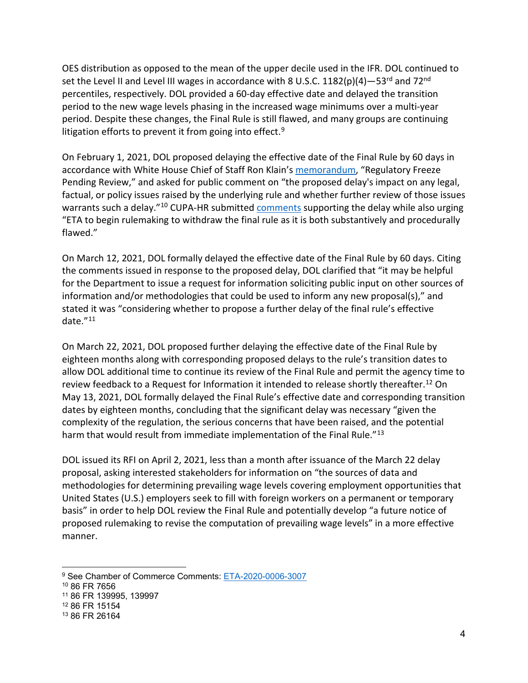OES distribution as opposed to the mean of the upper decile used in the IFR. DOL continued to set the Level II and Level III wages in accordance with 8 U.S.C.  $1182(p)(4) - 53^{rd}$  and  $72^{nd}$ percentiles, respectively. DOL provided a 60-day effective date and delayed the transition period to the new wage levels phasing in the increased wage minimums over a multi-year period. Despite these changes, the Final Rule is still flawed, and many groups are continuing litigation efforts to prevent it from going into effect.<sup>[9](#page-3-0)</sup>

On February 1, 2021, DOL proposed delaying the effective date of the Final Rule by 60 days in accordance with White House Chief of Staff Ron Klain's [memorandum,](https://www.whitehouse.gov/briefing-room/presidential-actions/2021/01/20/regulatory-freeze-pending-review/) "Regulatory Freeze Pending Review," and asked for public comment on "the proposed delay's impact on any legal, factual, or policy issues raised by the underlying rule and whether further review of those issues warrants such a delay."<sup>10</sup> CUPA-HR submitted [comments](https://www.cupahr.org/wp-content/uploads/advocacy/2021-02-16-ETA-Prevailing-Wage-Rule.pdf) supporting the delay while also urging "ETA to begin rulemaking to withdraw the final rule as it is both substantively and procedurally flawed."

On March 12, 2021, DOL formally delayed the effective date of the Final Rule by 60 days. Citing the comments issued in response to the proposed delay, DOL clarified that "it may be helpful for the Department to issue a request for information soliciting public input on other sources of information and/or methodologies that could be used to inform any new proposal(s)," and stated it was "considering whether to propose a further delay of the final rule's effective date."[11](#page-3-2)

On March 22, 2021, DOL proposed further delaying the effective date of the Final Rule by eighteen months along with corresponding proposed delays to the rule's transition dates to allow DOL additional time to continue its review of the Final Rule and permit the agency time to review feedback to a Request for Information it intended to release shortly thereafter.<sup>[12](#page-3-3)</sup> On May 13, 2021, DOL formally delayed the Final Rule's effective date and corresponding transition dates by eighteen months, concluding that the significant delay was necessary "given the complexity of the regulation, the serious concerns that have been raised, and the potential harm that would result from immediate implementation of the Final Rule."<sup>[13](#page-3-4)</sup>

DOL issued its RFI on April 2, 2021, less than a month after issuance of the March 22 delay proposal, asking interested stakeholders for information on "the sources of data and methodologies for determining prevailing wage levels covering employment opportunities that United States (U.S.) employers seek to fill with foreign workers on a permanent or temporary basis" in order to help DOL review the Final Rule and potentially develop "a future notice of proposed rulemaking to revise the computation of prevailing wage levels" in a more effective manner.

<span id="page-3-0"></span><sup>9</sup> See Chamber of Commerce Comments: [ETA-2020-0006-3007](https://www.regulations.gov/comment/ETA-2020-0006-3007)

<span id="page-3-1"></span><sup>10</sup> 86 FR 7656

<span id="page-3-2"></span><sup>11</sup> 86 FR 139995, 139997

<span id="page-3-3"></span><sup>12</sup> 86 FR 15154

<span id="page-3-4"></span><sup>13</sup> 86 FR 26164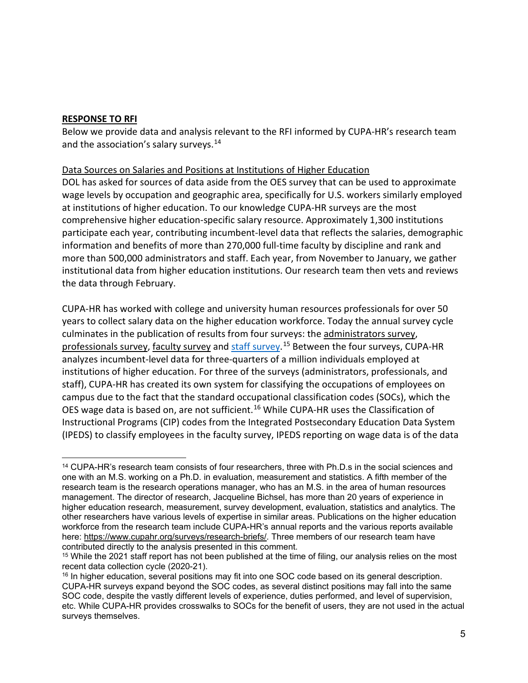# **RESPONSE TO RFI**

Below we provide data and analysis relevant to the RFI informed by CUPA-HR's research team and the association's salary surveys.<sup>[14](#page-4-0)</sup>

## Data Sources on Salaries and Positions at Institutions of Higher Education

DOL has asked for sources of data aside from the OES survey that can be used to approximate wage levels by occupation and geographic area, specifically for U.S. workers similarly employed at institutions of higher education. To our knowledge CUPA-HR surveys are the most comprehensive higher education-specific salary resource. Approximately 1,300 institutions participate each year, contributing incumbent-level data that reflects the salaries, demographic information and benefits of more than 270,000 full-time faculty by discipline and rank and more than 500,000 administrators and staff. Each year, from November to January, we gather institutional data from higher education institutions. Our research team then vets and reviews the data through February.

CUPA-HR has worked with college and university human resources professionals for over 50 years to collect salary data on the higher education workforce. Today the annual survey cycle culminates in the publication of results from four surveys: the [administrators survey,](https://www.cupahr.org/surveys/administrators-in-higher-education/) [professionals survey,](https://www.cupahr.org/surveys/professionals-in-higher-education/) [faculty survey](https://www.cupahr.org/surveys/faculty-in-higher-education/) and [staff survey.](https://www.cupahr.org/surveys/staff-in-higher-education/)<sup>[15](#page-4-1)</sup> Between the four surveys, CUPA-HR analyzes incumbent-level data for three-quarters of a million individuals employed at institutions of higher education. For three of the surveys (administrators, professionals, and staff), CUPA-HR has created its own system for classifying the occupations of employees on campus due to the fact that the standard occupational classification codes (SOCs), which the OES wage data is based on, are not sufficient.[16](#page-4-2) While CUPA-HR uses the Classification of Instructional Programs (CIP) codes from the Integrated Postsecondary Education Data System (IPEDS) to classify employees in the faculty survey, IPEDS reporting on wage data is of the data

<span id="page-4-0"></span><sup>14</sup> CUPA-HR's research team consists of four researchers, three with Ph.D.s in the social sciences and one with an M.S. working on a Ph.D. in evaluation, measurement and statistics. A fifth member of the research team is the research operations manager, who has an M.S. in the area of human resources management. The director of research, Jacqueline Bichsel, has more than 20 years of experience in higher education research, measurement, survey development, evaluation, statistics and analytics. The other researchers have various levels of expertise in similar areas. Publications on the higher education workforce from the research team include CUPA-HR's annual reports and the various reports available here: [https://www.cupahr.org/surveys/research-briefs/.](https://www.cupahr.org/surveys/research-briefs/) Three members of our research team have contributed directly to the analysis presented in this comment.

<span id="page-4-1"></span><sup>&</sup>lt;sup>15</sup> While the 2021 staff report has not been published at the time of filing, our analysis relies on the most recent data collection cycle (2020-21).

<span id="page-4-2"></span><sup>&</sup>lt;sup>16</sup> In higher education, several positions may fit into one SOC code based on its general description. CUPA-HR surveys expand beyond the SOC codes, as several distinct positions may fall into the same SOC code, despite the vastly different levels of experience, duties performed, and level of supervision, etc. While CUPA-HR provides crosswalks to SOCs for the benefit of users, they are not used in the actual surveys themselves.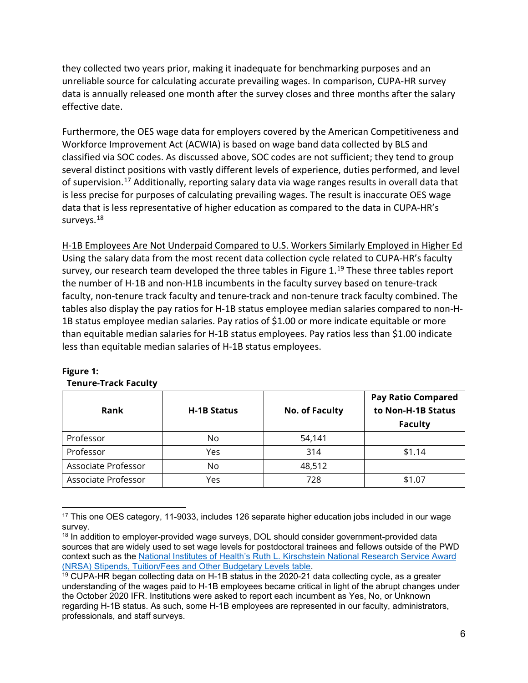they collected two years prior, making it inadequate for benchmarking purposes and an unreliable source for calculating accurate prevailing wages. In comparison, CUPA-HR survey data is annually released one month after the survey closes and three months after the salary effective date.

Furthermore, the OES wage data for employers covered by the American Competitiveness and Workforce Improvement Act (ACWIA) is based on wage band data collected by BLS and classified via SOC codes. As discussed above, SOC codes are not sufficient; they tend to group several distinct positions with vastly different levels of experience, duties performed, and level of supervision.<sup>[17](#page-5-0)</sup> Additionally, reporting salary data via wage ranges results in overall data that is less precise for purposes of calculating prevailing wages. The result is inaccurate OES wage data that is less representative of higher education as compared to the data in CUPA-HR's surveys.<sup>[18](#page-5-1)</sup>

H-1B Employees Are Not Underpaid Compared to U.S. Workers Similarly Employed in Higher Ed Using the salary data from the most recent data collection cycle related to CUPA-HR's faculty survey, our research team developed the three tables in Figure  $1<sup>19</sup>$  $1<sup>19</sup>$  $1<sup>19</sup>$  These three tables report the number of H-1B and non-H1B incumbents in the faculty survey based on tenure-track faculty, non-tenure track faculty and tenure-track and non-tenure track faculty combined. The tables also display the pay ratios for H-1B status employee median salaries compared to non-H-1B status employee median salaries. Pay ratios of \$1.00 or more indicate equitable or more than equitable median salaries for H-1B status employees. Pay ratios less than \$1.00 indicate less than equitable median salaries of H-1B status employees.

| Rank                | <b>H-1B Status</b> | No. of Faculty | <b>Pay Ratio Compared</b><br>to Non-H-1B Status<br><b>Faculty</b> |
|---------------------|--------------------|----------------|-------------------------------------------------------------------|
| Professor           | No                 | 54,141         |                                                                   |
| Professor           | Yes                | 314            | \$1.14                                                            |
| Associate Professor | No                 | 48,512         |                                                                   |
| Associate Professor | Yes                | 728            | \$1.07                                                            |

#### **Figure 1: Tenure-Track Faculty**

<span id="page-5-0"></span><sup>17</sup> This one OES category, 11-9033, includes 126 separate higher education jobs included in our wage survey.

<span id="page-5-1"></span><sup>&</sup>lt;sup>18</sup> In addition to employer-provided wage surveys, DOL should consider government-provided data sources that are widely used to set wage levels for postdoctoral trainees and fellows outside of the PWD context such as the [National Institutes of Health's Ruth L. Kirschstein National Research Service Award](https://grants.nih.gov/grants/guide/notice-files/NOT-OD-21-049.html)  [\(NRSA\) Stipends, Tuition/Fees and Other Budgetary Levels table.](https://grants.nih.gov/grants/guide/notice-files/NOT-OD-21-049.html)

<span id="page-5-2"></span> $19$  CUPA-HR began collecting data on H-1B status in the 2020- $\overline{21}$  data collecting cycle, as a greater understanding of the wages paid to H-1B employees became critical in light of the abrupt changes under the October 2020 IFR. Institutions were asked to report each incumbent as Yes, No, or Unknown regarding H-1B status. As such, some H-1B employees are represented in our faculty, administrators, professionals, and staff surveys.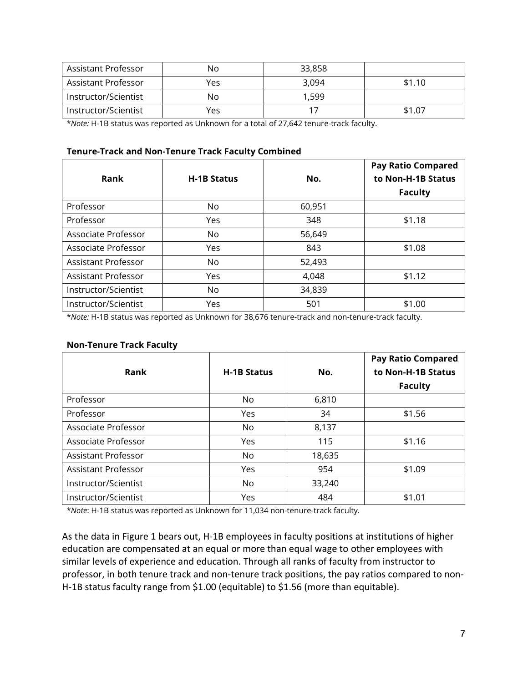| Assistant Professor  | No  | 33,858 |        |
|----------------------|-----|--------|--------|
| Assistant Professor  | Yes | 3.094  | \$1.10 |
| Instructor/Scientist | No  | 1.599  |        |
| Instructor/Scientist | Yes |        | \$1.07 |

\**Note:* H-1B status was reported as Unknown for a total of 27,642 tenure-track faculty.

#### **Tenure-Track and Non-Tenure Track Faculty Combined**

|                            |                    |        | <b>Pay Ratio Compared</b> |
|----------------------------|--------------------|--------|---------------------------|
| Rank                       | <b>H-1B Status</b> | No.    | to Non-H-1B Status        |
|                            |                    |        | <b>Faculty</b>            |
| Professor                  | No.                | 60,951 |                           |
| Professor                  | Yes                | 348    | \$1.18                    |
| Associate Professor        | N <sub>o</sub>     | 56,649 |                           |
| Associate Professor        | Yes                | 843    | \$1.08                    |
| <b>Assistant Professor</b> | No                 | 52,493 |                           |
| Assistant Professor        | Yes                | 4,048  | \$1.12                    |
| Instructor/Scientist       | No                 | 34,839 |                           |
| Instructor/Scientist       | Yes                | 501    | \$1.00                    |

\**Note:* H-1B status was reported as Unknown for 38,676 tenure-track and non-tenure-track faculty.

| <b>Non-Tenure Track Faculty</b> |  |
|---------------------------------|--|
|---------------------------------|--|

| Rank                 | <b>H-1B Status</b> | No.    | <b>Pay Ratio Compared</b><br>to Non-H-1B Status |
|----------------------|--------------------|--------|-------------------------------------------------|
|                      |                    |        | <b>Faculty</b>                                  |
| Professor            | No                 | 6,810  |                                                 |
| Professor            | Yes                | 34     | \$1.56                                          |
| Associate Professor  | N <sub>o</sub>     | 8,137  |                                                 |
| Associate Professor  | <b>Yes</b>         | 115    | \$1.16                                          |
| Assistant Professor  | No                 | 18,635 |                                                 |
| Assistant Professor  | Yes                | 954    | \$1.09                                          |
| Instructor/Scientist | N <sub>o</sub>     | 33,240 |                                                 |
| Instructor/Scientist | Yes                | 484    | \$1.01                                          |

\**Note*: H-1B status was reported as Unknown for 11,034 non-tenure-track faculty.

As the data in Figure 1 bears out, H-1B employees in faculty positions at institutions of higher education are compensated at an equal or more than equal wage to other employees with similar levels of experience and education. Through all ranks of faculty from instructor to professor, in both tenure track and non-tenure track positions, the pay ratios compared to non-H-1B status faculty range from \$1.00 (equitable) to \$1.56 (more than equitable).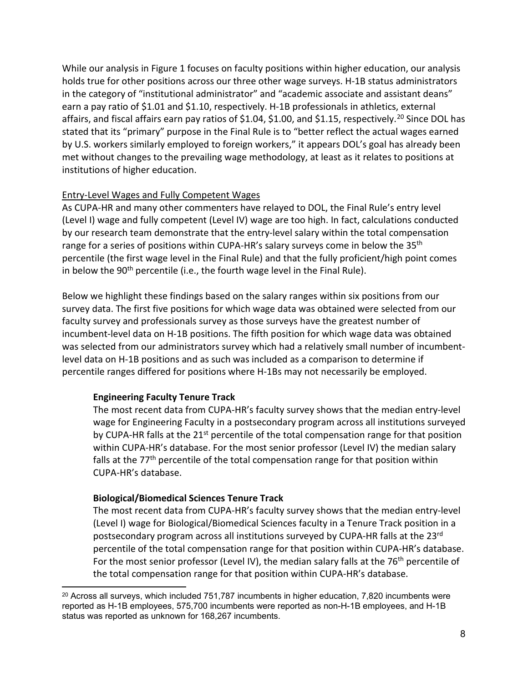While our analysis in Figure 1 focuses on faculty positions within higher education, our analysis holds true for other positions across our three other wage surveys. H-1B status administrators in the category of "institutional administrator" and "academic associate and assistant deans" earn a pay ratio of \$1.01 and \$1.10, respectively. H-1B professionals in athletics, external affairs, and fiscal affairs earn pay ratios of \$1.04, \$1.00, and \$1.15, respectively.<sup>[20](#page-7-0)</sup> Since DOL has stated that its "primary" purpose in the Final Rule is to "better reflect the actual wages earned by U.S. workers similarly employed to foreign workers," it appears DOL's goal has already been met without changes to the prevailing wage methodology, at least as it relates to positions at institutions of higher education.

# Entry-Level Wages and Fully Competent Wages

As CUPA-HR and many other commenters have relayed to DOL, the Final Rule's entry level (Level I) wage and fully competent (Level IV) wage are too high. In fact, calculations conducted by our research team demonstrate that the entry-level salary within the total compensation range for a series of positions within CUPA-HR's salary surveys come in below the 35<sup>th</sup> percentile (the first wage level in the Final Rule) and that the fully proficient/high point comes in below the 90<sup>th</sup> percentile (i.e., the fourth wage level in the Final Rule).

Below we highlight these findings based on the salary ranges within six positions from our survey data. The first five positions for which wage data was obtained were selected from our faculty survey and professionals survey as those surveys have the greatest number of incumbent-level data on H-1B positions. The fifth position for which wage data was obtained was selected from our administrators survey which had a relatively small number of incumbentlevel data on H-1B positions and as such was included as a comparison to determine if percentile ranges differed for positions where H-1Bs may not necessarily be employed.

# **Engineering Faculty Tenure Track**

The most recent data from CUPA-HR's faculty survey shows that the median entry-level wage for Engineering Faculty in a postsecondary program across all institutions surveyed by CUPA-HR falls at the  $21^{st}$  percentile of the total compensation range for that position within CUPA-HR's database. For the most senior professor (Level IV) the median salary falls at the 77<sup>th</sup> percentile of the total compensation range for that position within CUPA-HR's database.

## **Biological/Biomedical Sciences Tenure Track**

The most recent data from CUPA-HR's faculty survey shows that the median entry-level (Level I) wage for Biological/Biomedical Sciences faculty in a Tenure Track position in a postsecondary program across all institutions surveyed by CUPA-HR falls at the 23<sup>rd</sup> percentile of the total compensation range for that position within CUPA-HR's database. For the most senior professor (Level IV), the median salary falls at the  $76<sup>th</sup>$  percentile of the total compensation range for that position within CUPA-HR's database.

<span id="page-7-0"></span> $20$  Across all surveys, which included 751,787 incumbents in higher education, 7,820 incumbents were reported as H-1B employees, 575,700 incumbents were reported as non-H-1B employees, and H-1B status was reported as unknown for 168,267 incumbents.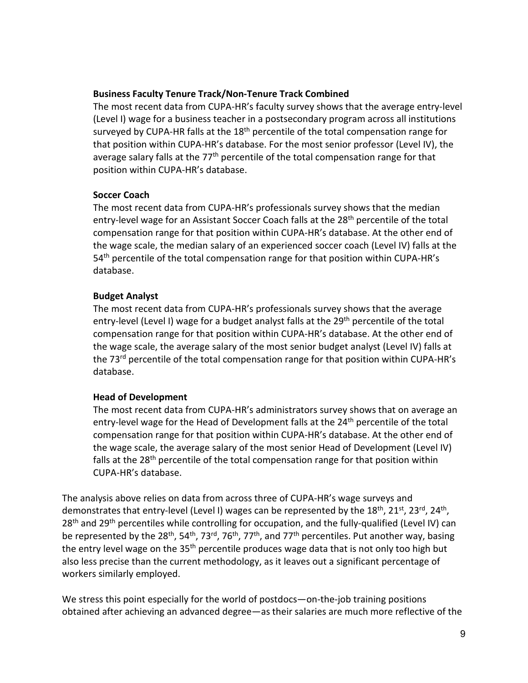#### **Business Faculty Tenure Track/Non-Tenure Track Combined**

The most recent data from CUPA-HR's faculty survey shows that the average entry-level (Level I) wage for a business teacher in a postsecondary program across all institutions surveyed by CUPA-HR falls at the  $18<sup>th</sup>$  percentile of the total compensation range for that position within CUPA-HR's database. For the most senior professor (Level IV), the average salary falls at the  $77<sup>th</sup>$  percentile of the total compensation range for that position within CUPA-HR's database.

#### **Soccer Coach**

The most recent data from CUPA-HR's professionals survey shows that the median entry-level wage for an Assistant Soccer Coach falls at the 28<sup>th</sup> percentile of the total compensation range for that position within CUPA-HR's database. At the other end of the wage scale, the median salary of an experienced soccer coach (Level IV) falls at the 54<sup>th</sup> percentile of the total compensation range for that position within CUPA-HR's database.

## **Budget Analyst**

The most recent data from CUPA-HR's professionals survey shows that the average entry-level (Level I) wage for a budget analyst falls at the 29<sup>th</sup> percentile of the total compensation range for that position within CUPA-HR's database. At the other end of the wage scale, the average salary of the most senior budget analyst (Level IV) falls at the 73<sup>rd</sup> percentile of the total compensation range for that position within CUPA-HR's database.

## **Head of Development**

The most recent data from CUPA-HR's administrators survey shows that on average an entry-level wage for the Head of Development falls at the 24<sup>th</sup> percentile of the total compensation range for that position within CUPA-HR's database. At the other end of the wage scale, the average salary of the most senior Head of Development (Level IV) falls at the 28<sup>th</sup> percentile of the total compensation range for that position within CUPA-HR's database.

The analysis above relies on data from across three of CUPA-HR's wage surveys and demonstrates that entry-level (Level I) wages can be represented by the  $18^{th}$ ,  $21^{st}$ ,  $23^{rd}$ ,  $24^{th}$ , 28<sup>th</sup> and 29<sup>th</sup> percentiles while controlling for occupation, and the fully-qualified (Level IV) can be represented by the 28<sup>th</sup>, 54<sup>th</sup>, 73<sup>rd</sup>, 76<sup>th</sup>, 77<sup>th</sup>, and 77<sup>th</sup> percentiles. Put another way, basing the entry level wage on the 35<sup>th</sup> percentile produces wage data that is not only too high but also less precise than the current methodology, as it leaves out a significant percentage of workers similarly employed.

We stress this point especially for the world of postdocs—on-the-job training positions obtained after achieving an advanced degree—as their salaries are much more reflective of the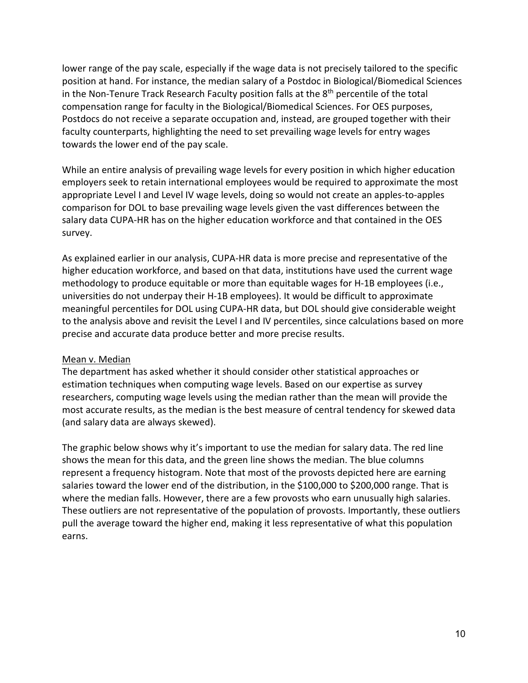lower range of the pay scale, especially if the wage data is not precisely tailored to the specific position at hand. For instance, the median salary of a Postdoc in Biological/Biomedical Sciences in the Non-Tenure Track Research Faculty position falls at the  $8<sup>th</sup>$  percentile of the total compensation range for faculty in the Biological/Biomedical Sciences. For OES purposes, Postdocs do not receive a separate occupation and, instead, are grouped together with their faculty counterparts, highlighting the need to set prevailing wage levels for entry wages towards the lower end of the pay scale.

While an entire analysis of prevailing wage levels for every position in which higher education employers seek to retain international employees would be required to approximate the most appropriate Level I and Level IV wage levels, doing so would not create an apples-to-apples comparison for DOL to base prevailing wage levels given the vast differences between the salary data CUPA-HR has on the higher education workforce and that contained in the OES survey.

As explained earlier in our analysis, CUPA-HR data is more precise and representative of the higher education workforce, and based on that data, institutions have used the current wage methodology to produce equitable or more than equitable wages for H-1B employees (i.e., universities do not underpay their H-1B employees). It would be difficult to approximate meaningful percentiles for DOL using CUPA-HR data, but DOL should give considerable weight to the analysis above and revisit the Level I and IV percentiles, since calculations based on more precise and accurate data produce better and more precise results.

## Mean v. Median

The department has asked whether it should consider other statistical approaches or estimation techniques when computing wage levels. Based on our expertise as survey researchers, computing wage levels using the median rather than the mean will provide the most accurate results, as the median is the best measure of central tendency for skewed data (and salary data are always skewed).

The graphic below shows why it's important to use the median for salary data. The red line shows the mean for this data, and the green line shows the median. The blue columns represent a frequency histogram. Note that most of the provosts depicted here are earning salaries toward the lower end of the distribution, in the \$100,000 to \$200,000 range. That is where the median falls. However, there are a few provosts who earn unusually high salaries. These outliers are not representative of the population of provosts. Importantly, these outliers pull the average toward the higher end, making it less representative of what this population earns.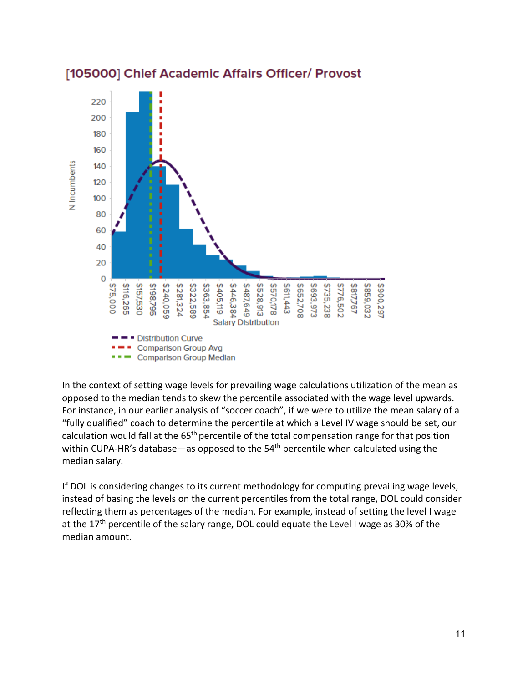

# [105000] Chief Academic Affairs Officer/ Provost

In the context of setting wage levels for prevailing wage calculations utilization of the mean as opposed to the median tends to skew the percentile associated with the wage level upwards. For instance, in our earlier analysis of "soccer coach", if we were to utilize the mean salary of a "fully qualified" coach to determine the percentile at which a Level IV wage should be set, our calculation would fall at the 65<sup>th</sup> percentile of the total compensation range for that position within CUPA-HR's database—as opposed to the  $54<sup>th</sup>$  percentile when calculated using the median salary.

If DOL is considering changes to its current methodology for computing prevailing wage levels, instead of basing the levels on the current percentiles from the total range, DOL could consider reflecting them as percentages of the median. For example, instead of setting the level I wage at the 17<sup>th</sup> percentile of the salary range, DOL could equate the Level I wage as 30% of the median amount.